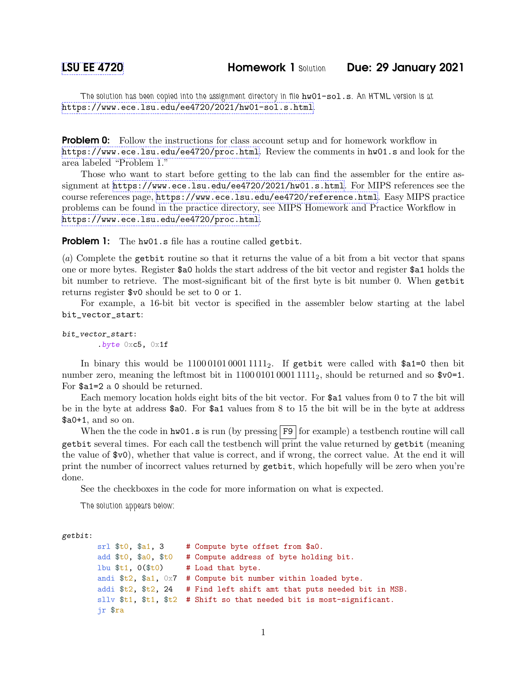The solution has been copied into the assignment directory in file  $hw01-sol.s$ . An HTML version is at <https://www.ece.lsu.edu/ee4720/2021/hw01-sol.s.html>.

**Problem 0:** Follow the instructions for class account setup and for homework workflow in <https://www.ece.lsu.edu/ee4720/proc.html>. Review the comments in hw01.s and look for the area labeled "Problem 1."

Those who want to start before getting to the lab can find the assembler for the entire assignment at <https://www.ece.lsu.edu/ee4720/2021/hw01.s.html>. For MIPS references see the course references page, <https://www.ece.lsu.edu/ee4720/reference.html>. Easy MIPS practice problems can be found in the practice directory, see MIPS Homework and Practice Workflow in <https://www.ece.lsu.edu/ee4720/proc.html>.

Problem 1: The hw01.s file has a routine called getbit.

(a) Complete the getbit routine so that it returns the value of a bit from a bit vector that spans one or more bytes. Register \$a0 holds the start address of the bit vector and register \$a1 holds the bit number to retrieve. The most-significant bit of the first byte is bit number 0. When getbit returns register \$v0 should be set to 0 or 1.

For example, a 16-bit bit vector is specified in the assembler below starting at the label bit\_vector\_start:

```
bit_vector_start:
        .byte 0xc5, 0x1f
```
In binary this would be  $1100010100011111_2$ . If getbit were called with \$a1=0 then bit number zero, meaning the leftmost bit in  $1100010100011111_2$ , should be returned and so  $v0=1$ . For \$a1=2 a 0 should be returned.

Each memory location holds eight bits of the bit vector. For \$a1 values from 0 to 7 the bit will be in the byte at address \$a0. For \$a1 values from 8 to 15 the bit will be in the byte at address \$a0+1, and so on.

When the the code in  $hw01 \cdot s$  is run (by pressing F9 for example) a testbench routine will call getbit several times. For each call the testbench will print the value returned by getbit (meaning the value of \$v0), whether that value is correct, and if wrong, the correct value. At the end it will print the number of incorrect values returned by getbit, which hopefully will be zero when you're done.

See the checkboxes in the code for more information on what is expected.

The solution appears below:

```
getbit:
```

```
srl $t0, $a1, 3 # Compute byte offset from $a0.
add $t0, $a0, $t0 # Compute address of byte holding bit.
1bu t_1, 0 (t_0) # Load that byte.
andi $t2, $a1, 0x7 # Compute bit number within loaded byte.
addi t_2, t_2, 24 # Find left shift amt that puts needed bit in MSB.
sllv $t1, $t1, $t2 # Shift so that needed bit is most-significant.
jr $ra
```